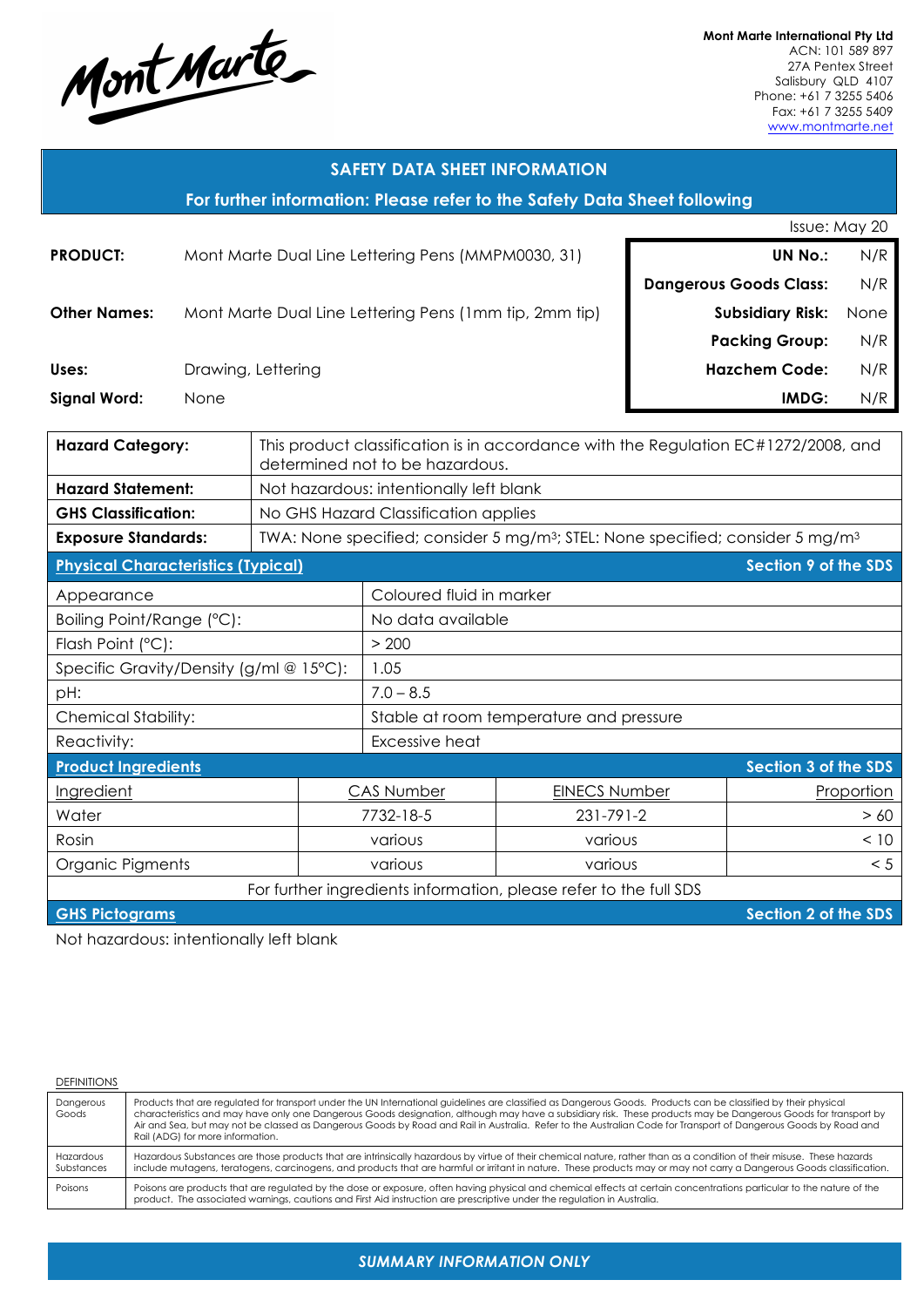

**Mont Marte International Pty Ltd** ACN: 101 589 897 27A Pentex Street Salisbury QLD 4107 Phone: +61 7 3255 5406 Fax: +61 7 3255 5409 www.montmarte.net

| <b>SAFETY DATA SHEET INFORMATION</b>                                                                                                             |      |                               |                                                                                                        |                      |                             |               |
|--------------------------------------------------------------------------------------------------------------------------------------------------|------|-------------------------------|--------------------------------------------------------------------------------------------------------|----------------------|-----------------------------|---------------|
| For further information: Please refer to the Safety Data Sheet following                                                                         |      |                               |                                                                                                        |                      |                             |               |
|                                                                                                                                                  |      |                               |                                                                                                        |                      |                             | Issue: May 20 |
| <b>PRODUCT:</b>                                                                                                                                  |      |                               | Mont Marte Dual Line Lettering Pens (MMPM0030, 31)                                                     |                      | <b>UN No.:</b>              | N/R           |
|                                                                                                                                                  |      | <b>Dangerous Goods Class:</b> |                                                                                                        |                      |                             | N/R           |
| <b>Other Names:</b>                                                                                                                              |      |                               | Mont Marte Dual Line Lettering Pens (1mm tip, 2mm tip)                                                 |                      | <b>Subsidiary Risk:</b>     | None          |
|                                                                                                                                                  |      |                               |                                                                                                        |                      | <b>Packing Group:</b>       | N/R           |
| Uses:                                                                                                                                            |      | Drawing, Lettering            |                                                                                                        |                      | <b>Hazchem Code:</b>        | N/R           |
| <b>Signal Word:</b>                                                                                                                              | None |                               |                                                                                                        |                      | IMDG:                       | N/R           |
|                                                                                                                                                  |      |                               |                                                                                                        |                      |                             |               |
| <b>Hazard Category:</b><br>This product classification is in accordance with the Regulation EC#1272/2008, and<br>determined not to be hazardous. |      |                               |                                                                                                        |                      |                             |               |
| <b>Hazard Statement:</b>                                                                                                                         |      |                               | Not hazardous: intentionally left blank                                                                |                      |                             |               |
| <b>GHS Classification:</b>                                                                                                                       |      |                               | No GHS Hazard Classification applies                                                                   |                      |                             |               |
| <b>Exposure Standards:</b>                                                                                                                       |      |                               | TWA: None specified; consider 5 mg/m <sup>3</sup> ; STEL: None specified; consider 5 mg/m <sup>3</sup> |                      |                             |               |
| <b>Physical Characteristics (Typical)</b>                                                                                                        |      |                               |                                                                                                        |                      | <b>Section 9 of the SDS</b> |               |
| Appearance                                                                                                                                       |      | Coloured fluid in marker      |                                                                                                        |                      |                             |               |
| Boiling Point/Range (°C):                                                                                                                        |      |                               | No data available                                                                                      |                      |                             |               |
| Flash Point (°C):                                                                                                                                |      |                               | > 200                                                                                                  |                      |                             |               |
| Specific Gravity/Density (g/ml @ 15°C):                                                                                                          |      |                               | 1.05                                                                                                   |                      |                             |               |
| pH:                                                                                                                                              |      |                               | $7.0 - 8.5$                                                                                            |                      |                             |               |
| <b>Chemical Stability:</b>                                                                                                                       |      |                               | Stable at room temperature and pressure                                                                |                      |                             |               |
| Reactivity:                                                                                                                                      |      |                               | Excessive heat                                                                                         |                      |                             |               |
| <b>Product Ingredients</b>                                                                                                                       |      |                               |                                                                                                        |                      | <b>Section 3 of the SDS</b> |               |
| Ingredient                                                                                                                                       |      |                               | <b>CAS Number</b>                                                                                      | <b>EINECS Number</b> |                             | Proportion    |
| Water                                                                                                                                            |      |                               | 7732-18-5                                                                                              | 231-791-2            |                             | > 60          |
| Rosin                                                                                                                                            |      |                               | various                                                                                                | various              |                             | < 10          |
| Organic Pigments                                                                                                                                 |      |                               | various                                                                                                | various              |                             | < 5           |
| For further ingredients information, please refer to the full SDS                                                                                |      |                               |                                                                                                        |                      |                             |               |

**GHS Pictograms Section 2 of the SDS** 

Not hazardous: intentionally left blank

#### **DEFINITIONS**

| Dangerous<br>Goods      | Products that are regulated for transport under the UN International guidelines are classified as Dangerous Goods. Products can be classified by their physical<br>characteristics and may have only one Dangerous Goods designation, although may have a subsidiary risk. These products may be Dangerous Goods for transport by<br>Air and Sea, but may not be classed as Dangerous Goods by Road and Rail in Australia. Refer to the Australian Code for Transport of Dangerous Goods by Road and<br>Rail (ADG) for more information. |
|-------------------------|------------------------------------------------------------------------------------------------------------------------------------------------------------------------------------------------------------------------------------------------------------------------------------------------------------------------------------------------------------------------------------------------------------------------------------------------------------------------------------------------------------------------------------------|
| Hazardous<br>Substances | Hazardous Substances are those products that are intrinsically hazardous by virtue of their chemical nature, rather than as a condition of their misuse. These hazards<br>include mutagens, teratogens, carcinogens, and products that are harmful or irritant in nature. These products may or may not carry a Dangerous Goods classification.                                                                                                                                                                                          |
| Poisons                 | Poisons are products that are regulated by the dose or exposure, often having physical and chemical effects at certain concentrations particular to the nature of the<br>product. The associated warnings, cautions and First Aid instruction are prescriptive under the regulation in Australia.                                                                                                                                                                                                                                        |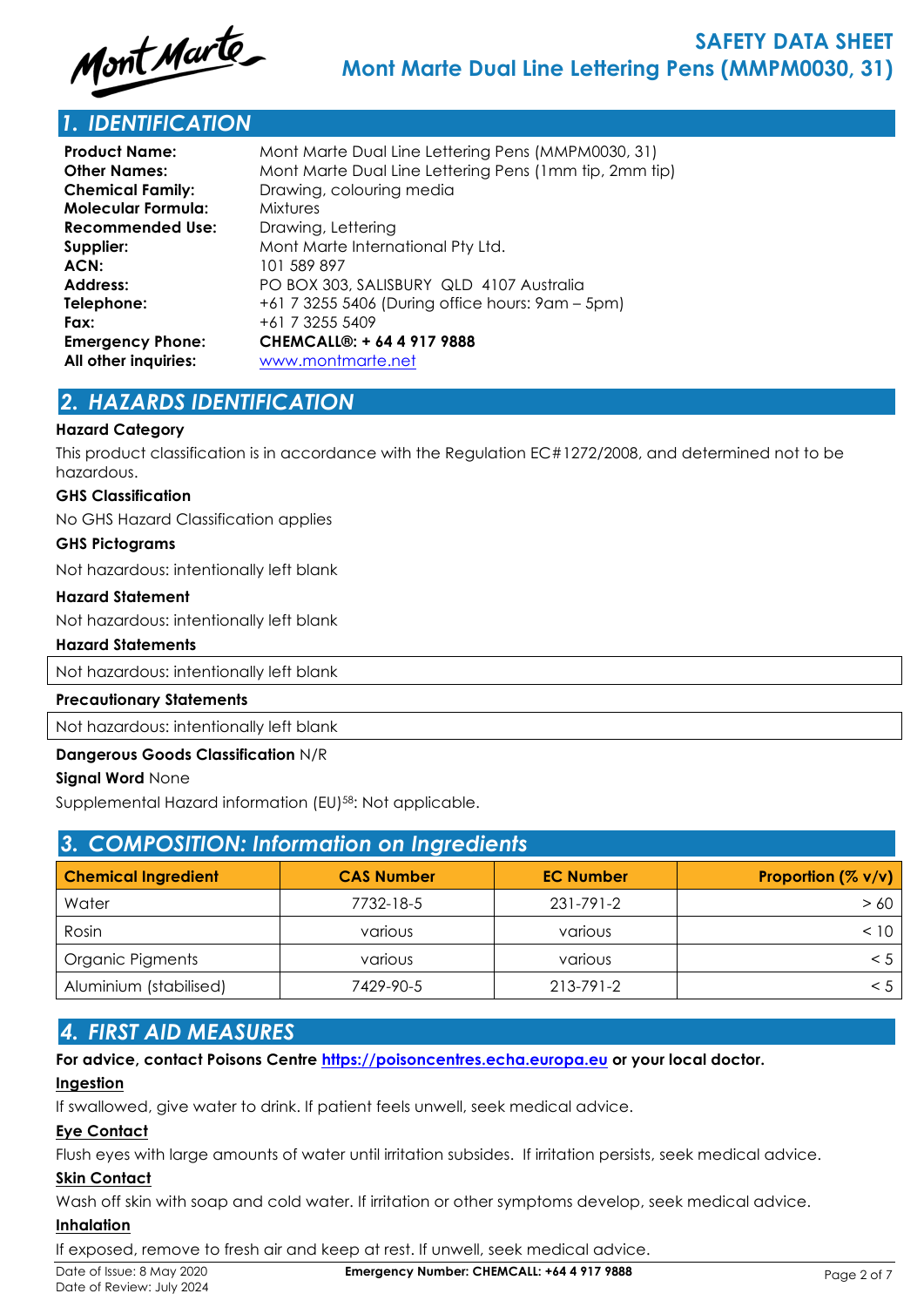

# *1. IDENTIFICATION*

| <b>Product Name:</b>    | Mont Marte Dual Line Lettering Pens (MMPM0030, 31)     |
|-------------------------|--------------------------------------------------------|
| <b>Other Names:</b>     | Mont Marte Dual Line Lettering Pens (1mm tip, 2mm tip) |
| <b>Chemical Family:</b> | Drawing, colouring media                               |
| Molecular Formula:      | <b>Mixtures</b>                                        |
| <b>Recommended Use:</b> | Drawing, Lettering                                     |
| Supplier:               | Mont Marte International Pty Ltd.                      |
| ACN:                    | 101 589 897                                            |
| <b>Address:</b>         | PO BOX 303, SALISBURY QLD 4107 Australia               |
| Telephone:              | +61 7 3255 5406 (During office hours: 9am – 5pm)       |
| Fax:                    | +61 7 3255 5409                                        |
| <b>Emergency Phone:</b> | CHEMCALL®: + 64 4 917 9888                             |
| All other inquiries:    | www.montmarte.net                                      |
|                         |                                                        |

# *2. HAZARDS IDENTIFICATION*

### **Hazard Category**

This product classification is in accordance with the Regulation EC#1272/2008, and determined not to be hazardous.

#### **GHS Classification**

No GHS Hazard Classification applies

#### **GHS Pictograms**

Not hazardous: intentionally left blank

#### **Hazard Statement**

Not hazardous: intentionally left blank

### **Hazard Statements**

Not hazardous: intentionally left blank

#### **Precautionary Statements**

Not hazardous: intentionally left blank

## **Dangerous Goods Classification** N/R

### **Signal Word** None

Supplemental Hazard information (EU)<sup>58</sup>: Not applicable.

| 3. COMPOSITION: Information on Ingredients |                   |                  |                    |  |
|--------------------------------------------|-------------------|------------------|--------------------|--|
| <b>Chemical Ingredient</b>                 | <b>CAS Number</b> | <b>EC Number</b> | Proportion (% v/v) |  |
| Water                                      | 7732-18-5         | 231-791-2        | > 60               |  |
| Rosin                                      | various           | various          | < 10               |  |
| Organic Pigments                           | various           | various          | < 5                |  |
| Aluminium (stabilised)                     | 7429-90-5         | 213-791-2        | < 5                |  |

# *4. FIRST AID MEASURES*

### **For advice, contact Poisons Centre https://poisoncentres.echa.europa.eu or your local doctor.**

# **Ingestion**

If swallowed, give water to drink. If patient feels unwell, seek medical advice.

# **Eye Contact**

Flush eyes with large amounts of water until irritation subsides. If irritation persists, seek medical advice.

# **Skin Contact**

Wash off skin with soap and cold water. If irritation or other symptoms develop, seek medical advice.

# **Inhalation**

If exposed, remove to fresh air and keep at rest. If unwell, seek medical advice.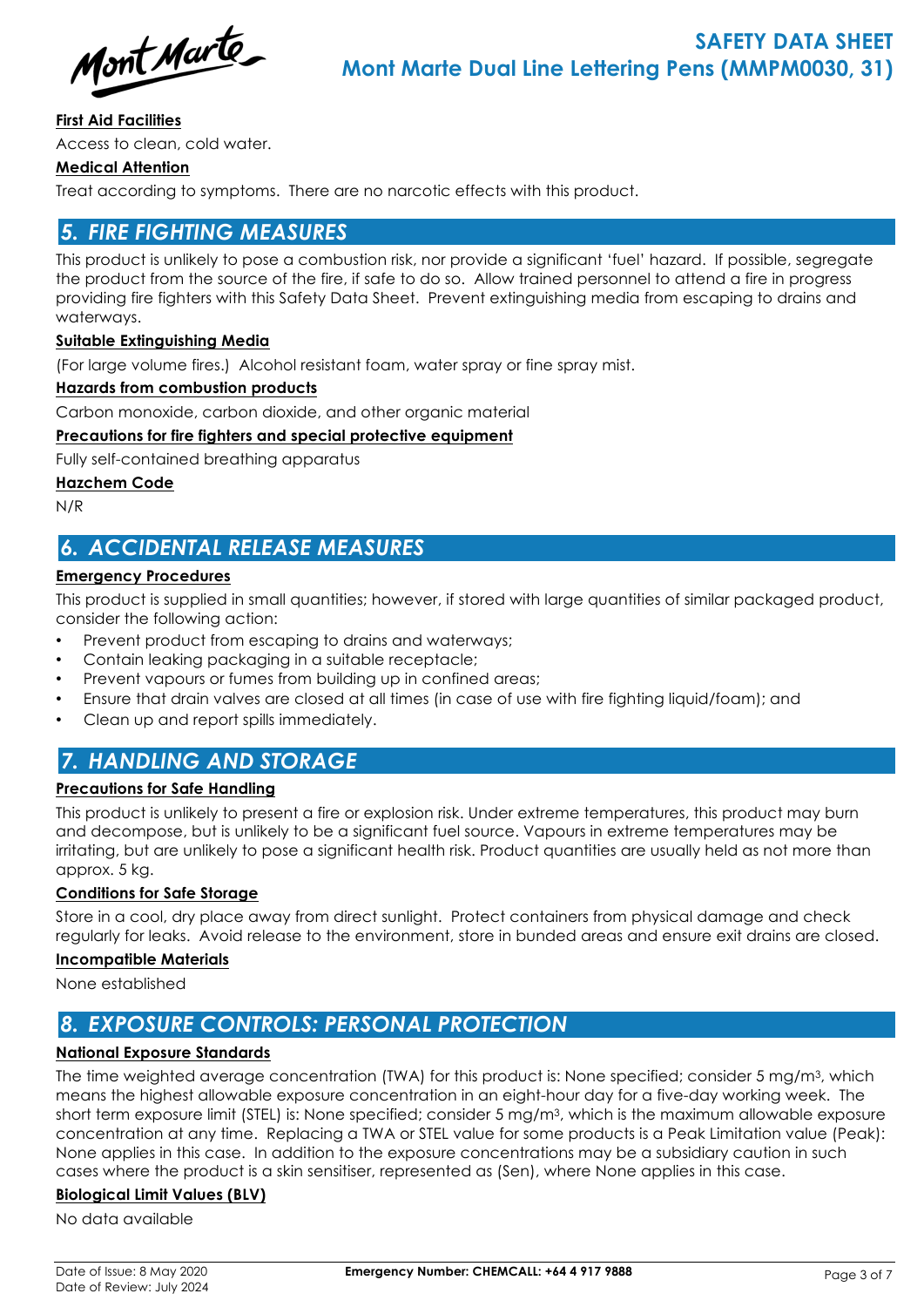Mont Marte

## **First Aid Facilities**

Access to clean, cold water.

# **Medical Attention**

Treat according to symptoms. There are no narcotic effects with this product.

# *5. FIRE FIGHTING MEASURES*

This product is unlikely to pose a combustion risk, nor provide a significant 'fuel' hazard. If possible, segregate the product from the source of the fire, if safe to do so. Allow trained personnel to attend a fire in progress providing fire fighters with this Safety Data Sheet. Prevent extinguishing media from escaping to drains and waterways.

## **Suitable Extinguishing Media**

(For large volume fires.) Alcohol resistant foam, water spray or fine spray mist.

### **Hazards from combustion products**

Carbon monoxide, carbon dioxide, and other organic material

## **Precautions for fire fighters and special protective equipment**

Fully self-contained breathing apparatus

### **Hazchem Code**

N/R

# *6. ACCIDENTAL RELEASE MEASURES*

## **Emergency Procedures**

This product is supplied in small quantities; however, if stored with large quantities of similar packaged product, consider the following action:

- Prevent product from escaping to drains and waterways;
- Contain leaking packaging in a suitable receptacle;
- Prevent vapours or fumes from building up in confined areas;
- Ensure that drain valves are closed at all times (in case of use with fire fighting liquid/foam); and
- Clean up and report spills immediately.

# *7. HANDLING AND STORAGE*

## **Precautions for Safe Handling**

This product is unlikely to present a fire or explosion risk. Under extreme temperatures, this product may burn and decompose, but is unlikely to be a significant fuel source. Vapours in extreme temperatures may be irritating, but are unlikely to pose a significant health risk. Product quantities are usually held as not more than approx. 5 kg.

## **Conditions for Safe Storage**

Store in a cool, dry place away from direct sunlight. Protect containers from physical damage and check regularly for leaks. Avoid release to the environment, store in bunded areas and ensure exit drains are closed.

### **Incompatible Materials**

None established

# *8. EXPOSURE CONTROLS: PERSONAL PROTECTION*

## **National Exposure Standards**

The time weighted average concentration (TWA) for this product is: None specified; consider 5 mg/m3, which means the highest allowable exposure concentration in an eight-hour day for a five-day working week. The short term exposure limit (STEL) is: None specified; consider 5 mg/m3, which is the maximum allowable exposure concentration at any time. Replacing a TWA or STEL value for some products is a Peak Limitation value (Peak): None applies in this case. In addition to the exposure concentrations may be a subsidiary caution in such cases where the product is a skin sensitiser, represented as (Sen), where None applies in this case.

## **Biological Limit Values (BLV)**

No data available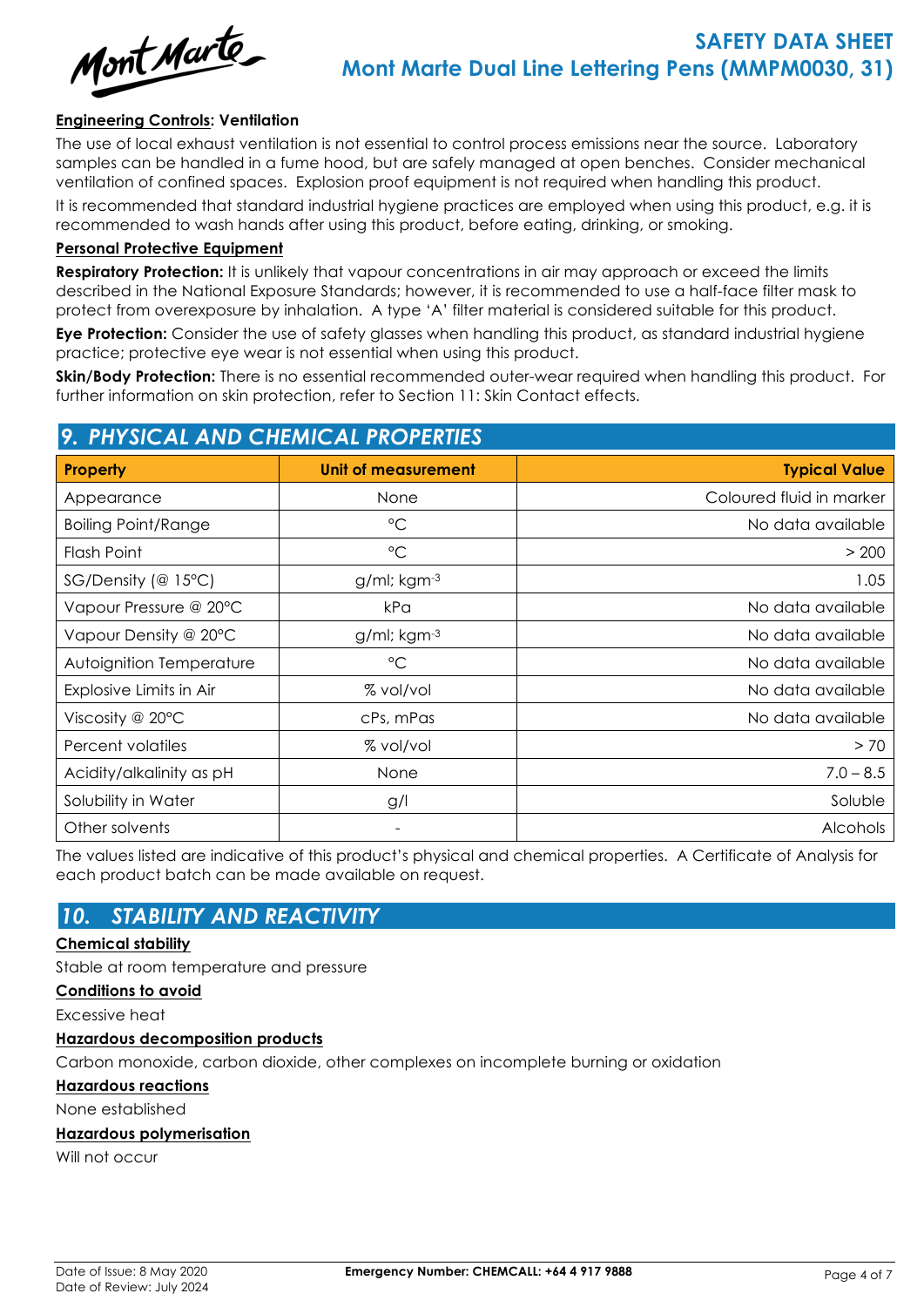

### **Engineering Controls: Ventilation**

The use of local exhaust ventilation is not essential to control process emissions near the source. Laboratory samples can be handled in a fume hood, but are safely managed at open benches. Consider mechanical ventilation of confined spaces. Explosion proof equipment is not required when handling this product.

It is recommended that standard industrial hygiene practices are employed when using this product, e.g. it is recommended to wash hands after using this product, before eating, drinking, or smoking.

#### **Personal Protective Equipment**

**Respiratory Protection:** It is unlikely that vapour concentrations in air may approach or exceed the limits described in the National Exposure Standards; however, it is recommended to use a half-face filter mask to protect from overexposure by inhalation. A type 'A' filter material is considered suitable for this product.

**Eye Protection:** Consider the use of safety glasses when handling this product, as standard industrial hygiene practice; protective eye wear is not essential when using this product.

**Skin/Body Protection:** There is no essential recommended outer-wear required when handling this product. For further information on skin protection, refer to Section 11: Skin Contact effects.

# *9. PHYSICAL AND CHEMICAL PROPERTIES*

| <b>Property</b>            | <b>Unit of measurement</b> | <b>Typical Value</b>     |  |  |
|----------------------------|----------------------------|--------------------------|--|--|
| Appearance                 | None                       | Coloured fluid in marker |  |  |
| <b>Boiling Point/Range</b> | $\rm ^{\circ}C$            | No data available        |  |  |
| Flash Point                | $\rm ^{\circ}C$            | > 200                    |  |  |
| $SG/Density$ (@ 15°C)      | g/ml; kgm-3                | 1.05                     |  |  |
| Vapour Pressure @ 20°C     | kPa                        | No data available        |  |  |
| Vapour Density @ 20°C      | g/ml; kgm-3                | No data available        |  |  |
| Autoignition Temperature   | $\rm ^{\circ}C$            | No data available        |  |  |
| Explosive Limits in Air    | % vol/vol                  | No data available        |  |  |
| Viscosity @ $20^{\circ}$ C | cPs, mPas                  | No data available        |  |  |
| Percent volatiles          | % vol/vol                  | > 70                     |  |  |
| Acidity/alkalinity as pH   | None                       | $7.0 - 8.5$              |  |  |
| Solubility in Water        | g/                         | Soluble                  |  |  |
| Other solvents             | -                          | Alcohols                 |  |  |

The values listed are indicative of this product's physical and chemical properties. A Certificate of Analysis for each product batch can be made available on request.

# *10. STABILITY AND REACTIVITY*

### **Chemical stability**

Stable at room temperature and pressure

#### **Conditions to avoid**

Excessive heat

### **Hazardous decomposition products**

Carbon monoxide, carbon dioxide, other complexes on incomplete burning or oxidation

**Hazardous reactions**

None established

### **Hazardous polymerisation**

Will not occur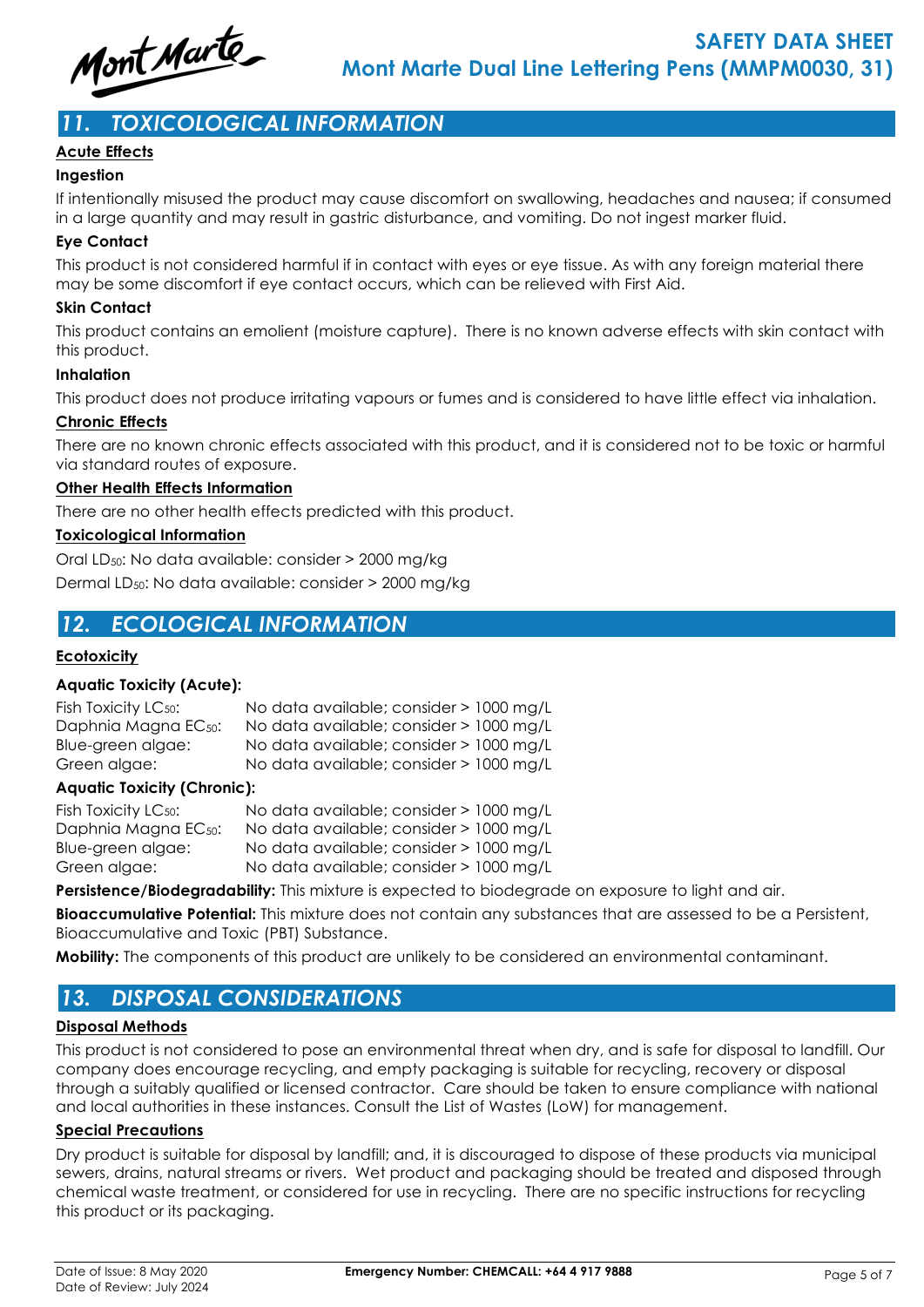

# *11. TOXICOLOGICAL INFORMATION*

## **Acute Effects**

### **Ingestion**

If intentionally misused the product may cause discomfort on swallowing, headaches and nausea; if consumed in a large quantity and may result in gastric disturbance, and vomiting. Do not ingest marker fluid.

## **Eye Contact**

This product is not considered harmful if in contact with eyes or eye tissue. As with any foreign material there may be some discomfort if eye contact occurs, which can be relieved with First Aid.

### **Skin Contact**

This product contains an emolient (moisture capture). There is no known adverse effects with skin contact with this product.

### **Inhalation**

This product does not produce irritating vapours or fumes and is considered to have little effect via inhalation.

## **Chronic Effects**

There are no known chronic effects associated with this product, and it is considered not to be toxic or harmful via standard routes of exposure.

## **Other Health Effects Information**

There are no other health effects predicted with this product.

## **Toxicological Information**

Oral LD50: No data available: consider > 2000 mg/kg Dermal LD50: No data available: consider > 2000 mg/kg

# *12. ECOLOGICAL INFORMATION*

### **Ecotoxicity**

### **Aquatic Toxicity (Acute):**

| Fish Toxicity LC <sub>50</sub> : | No data available; consider > 1000 mg/L |
|----------------------------------|-----------------------------------------|
| Daphnia Magna EC <sub>50</sub> : | No data available; consider > 1000 mg/L |
| Blue-green algae:                | No data available; consider > 1000 mg/L |
| Green algae:                     | No data available; consider > 1000 mg/L |
|                                  |                                         |

### **Aquatic Toxicity (Chronic):**

| Fish Toxicity LC <sub>50</sub> : | No data available; consider > 1000 mg/L |  |
|----------------------------------|-----------------------------------------|--|
| Daphnia Magna EC <sub>50</sub> : | No data available; consider > 1000 mg/L |  |
| Blue-green algae:                | No data available; consider > 1000 mg/L |  |
| Green algae:                     | No data available; consider > 1000 mg/L |  |

Persistence/Biodegradability: This mixture is expected to biodegrade on exposure to light and air.

**Bioaccumulative Potential:** This mixture does not contain any substances that are assessed to be a Persistent, Bioaccumulative and Toxic (PBT) Substance.

**Mobility:** The components of this product are unlikely to be considered an environmental contaminant.

# *13. DISPOSAL CONSIDERATIONS*

### **Disposal Methods**

This product is not considered to pose an environmental threat when dry, and is safe for disposal to landfill. Our company does encourage recycling, and empty packaging is suitable for recycling, recovery or disposal through a suitably qualified or licensed contractor. Care should be taken to ensure compliance with national and local authorities in these instances. Consult the List of Wastes (LoW) for management.

### **Special Precautions**

Dry product is suitable for disposal by landfill; and, it is discouraged to dispose of these products via municipal sewers, drains, natural streams or rivers. Wet product and packaging should be treated and disposed through chemical waste treatment, or considered for use in recycling. There are no specific instructions for recycling this product or its packaging.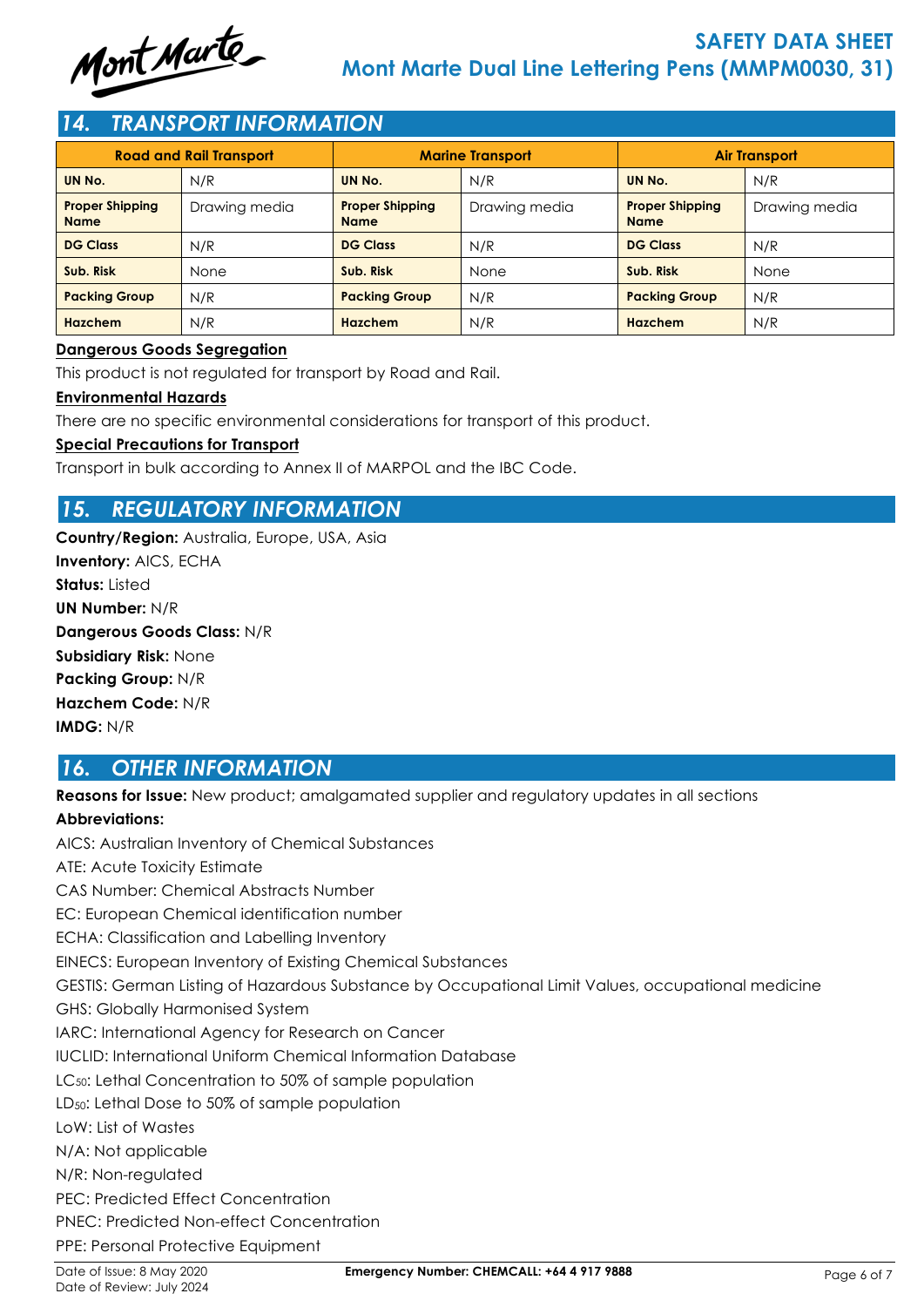

# *14. TRANSPORT INFORMATION*

| <b>Road and Rail Transport</b>        |               | <b>Marine Transport</b>               |               | <b>Air Transport</b>                  |               |
|---------------------------------------|---------------|---------------------------------------|---------------|---------------------------------------|---------------|
| UN No.                                | N/R           | UN No.                                | N/R           | UN No.                                | N/R           |
| <b>Proper Shipping</b><br><b>Name</b> | Drawing media | <b>Proper Shipping</b><br><b>Name</b> | Drawing media | <b>Proper Shipping</b><br><b>Name</b> | Drawing media |
| <b>DG Class</b>                       | N/R           | <b>DG Class</b>                       | N/R           | <b>DG Class</b>                       | N/R           |
| Sub. Risk                             | None          | Sub. Risk                             | None          | Sub. Risk                             | None          |
| <b>Packing Group</b>                  | N/R           | <b>Packing Group</b>                  | N/R           | <b>Packing Group</b>                  | N/R           |
| <b>Hazchem</b>                        | N/R           | <b>Hazchem</b>                        | N/R           | Hazchem                               | N/R           |

### **Dangerous Goods Segregation**

This product is not regulated for transport by Road and Rail.

### **Environmental Hazards**

There are no specific environmental considerations for transport of this product.

### **Special Precautions for Transport**

Transport in bulk according to Annex II of MARPOL and the IBC Code.

# *15. REGULATORY INFORMATION*

**Country/Region:** Australia, Europe, USA, Asia **Inventory:** AICS, ECHA **Status:** Listed **UN Number:** N/R **Dangerous Goods Class:** N/R **Subsidiary Risk:** None **Packing Group:** N/R **Hazchem Code:** N/R **IMDG:** N/R

# *16. OTHER INFORMATION*

**Reasons for Issue:** New product; amalgamated supplier and regulatory updates in all sections

## **Abbreviations:**

AICS: Australian Inventory of Chemical Substances ATE: Acute Toxicity Estimate CAS Number: Chemical Abstracts Number EC: European Chemical identification number ECHA: Classification and Labelling Inventory EINECS: European Inventory of Existing Chemical Substances GESTIS: German Listing of Hazardous Substance by Occupational Limit Values, occupational medicine GHS: Globally Harmonised System IARC: International Agency for Research on Cancer IUCLID: International Uniform Chemical Information Database LC<sub>50</sub>: Lethal Concentration to 50% of sample population LD<sub>50</sub>: Lethal Dose to 50% of sample population LoW: List of Wastes N/A: Not applicable N/R: Non-regulated PEC: Predicted Effect Concentration PNEC: Predicted Non-effect Concentration PPE: Personal Protective Equipment